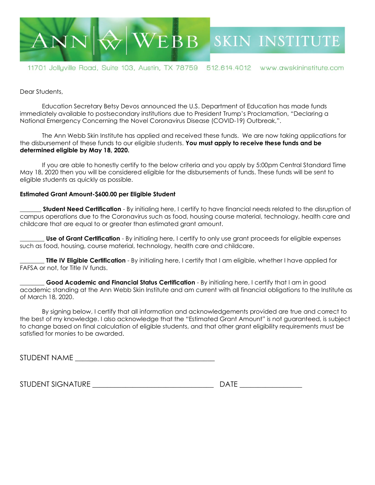

11701 Jollyville Road, Suite 103, Austin, TX 78759 512.614.4012 www.awskininstitute.com

Dear Students,

Education Secretary Betsy Devos announced the U.S. Department of Education has made funds immediately available to postsecondary institutions due to President Trump's Proclamation, "Declaring a National Emergency Concerning the Novel Coronavirus Disease (COVID-19) Outbreak,".

The Ann Webb Skin Institute has applied and received these funds. We are now taking applications for the disbursement of these funds to our eligible students. **You must apply to receive these funds and be determined eligible by May 18, 2020.**

If you are able to honestly certify to the below criteria and you apply by 5:00pm Central Standard Time May 18, 2020 then you will be considered eligible for the disbursements of funds. These funds will be sent to eligible students as quickly as possible.

## **Estimated Grant Amount-\$600.00 per Eligible Student**

**\_\_\_\_\_\_\_ Student Need Certification** - By initialing here, I certify to have financial needs related to the disruption of campus operations due to the Coronavirus such as food, housing course material, technology, health care and childcare that are equal to or greater than estimated grant amount.

**Use of Grant Certification** - By initialing here, I certify to only use grant proceeds for eligible expenses such as food, housing, course material, technology, health care and childcare.

**Title IV Eligible Certification** - By initialing here, I certify that I am eligible, whether I have applied for FAFSA or not, for Title IV funds.

**\_\_\_\_\_\_\_\_ Good Academic and Financial Status Certification** - By initialing here, I certify that I am in good academic standing at the Ann Webb Skin Institute and am current with all financial obligations to the Institute as of March 18, 2020.

By signing below, I certify that all information and acknowledgements provided are true and correct to the best of my knowledge. I also acknowledge that the "Estimated Grant Amount" is not guaranteed, is subject to change based on final calculation of eligible students, and that other grant eligibility requirements must be satisfied for monies to be awarded.

STUDENT NAME

STUDENT SIGNATURE **EXECUTE EXECUTE EXECUTE EXECUTE**